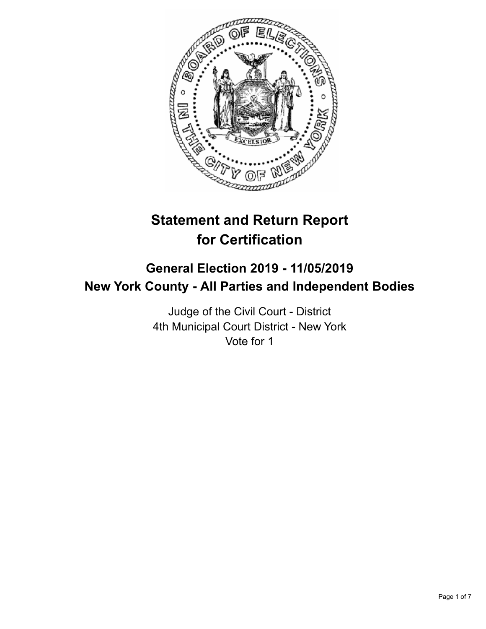

# **Statement and Return Report for Certification**

## **General Election 2019 - 11/05/2019 New York County - All Parties and Independent Bodies**

Judge of the Civil Court - District 4th Municipal Court District - New York Vote for 1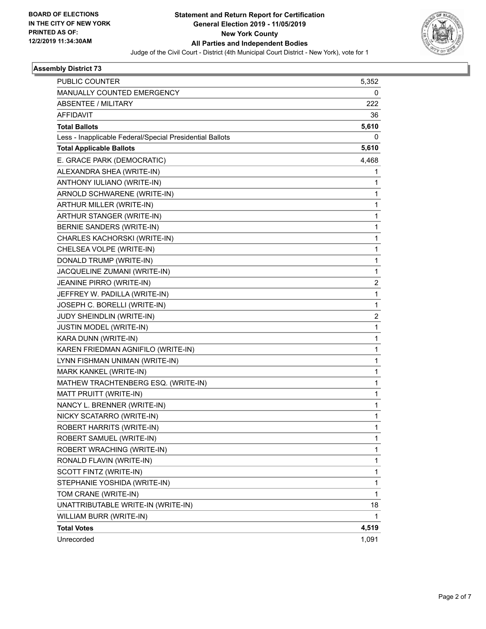

## **Assembly District 73**

| <b>Total Votes</b>                                       | 4,519             |
|----------------------------------------------------------|-------------------|
| WILLIAM BURR (WRITE-IN)                                  | 1                 |
| UNATTRIBUTABLE WRITE-IN (WRITE-IN)                       | 18                |
| TOM CRANE (WRITE-IN)                                     | $\mathbf{1}$      |
| STEPHANIE YOSHIDA (WRITE-IN)                             | 1                 |
| SCOTT FINTZ (WRITE-IN)                                   | $\mathbf{1}$      |
| RONALD FLAVIN (WRITE-IN)                                 | $\mathbf{1}$      |
| ROBERT SAMUEL (WRITE-IN)<br>ROBERT WRACHING (WRITE-IN)   | $\mathbf{1}$<br>1 |
| ROBERT HARRITS (WRITE-IN)                                |                   |
| NICKY SCATARRO (WRITE-IN)                                | 1<br>1            |
| NANCY L. BRENNER (WRITE-IN)                              | 1                 |
| MATT PRUITT (WRITE-IN)                                   | $\mathbf{1}$      |
| MATHEW TRACHTENBERG ESQ. (WRITE-IN)                      | 1                 |
| MARK KANKEL (WRITE-IN)                                   | 1                 |
| LYNN FISHMAN UNIMAN (WRITE-IN)                           | $\mathbf{1}$      |
| KAREN FRIEDMAN AGNIFILO (WRITE-IN)                       | 1                 |
| KARA DUNN (WRITE-IN)                                     | $\mathbf{1}$      |
| JUSTIN MODEL (WRITE-IN)                                  | $\mathbf{1}$      |
| JUDY SHEINDLIN (WRITE-IN)                                | 2                 |
| JOSEPH C. BORELLI (WRITE-IN)                             | $\mathbf{1}$      |
| JEFFREY W. PADILLA (WRITE-IN)                            | $\mathbf{1}$      |
| JEANINE PIRRO (WRITE-IN)                                 | 2                 |
| JACQUELINE ZUMANI (WRITE-IN)                             | $\mathbf{1}$      |
| DONALD TRUMP (WRITE-IN)                                  | $\mathbf{1}$      |
| CHELSEA VOLPE (WRITE-IN)                                 | 1                 |
| CHARLES KACHORSKI (WRITE-IN)                             | $\mathbf{1}$      |
| BERNIE SANDERS (WRITE-IN)                                | $\mathbf{1}$      |
| ARTHUR STANGER (WRITE-IN)                                | 1                 |
| ARTHUR MILLER (WRITE-IN)                                 | 1                 |
| ARNOLD SCHWARENE (WRITE-IN)                              | 1                 |
| ANTHONY IULIANO (WRITE-IN)                               | 1                 |
| ALEXANDRA SHEA (WRITE-IN)                                | 1                 |
| E. GRACE PARK (DEMOCRATIC)                               | 4,468             |
| <b>Total Applicable Ballots</b>                          | 5,610             |
| Less - Inapplicable Federal/Special Presidential Ballots | 0                 |
| <b>Total Ballots</b>                                     | 5,610             |
| <b>AFFIDAVIT</b>                                         | 36                |
| <b>ABSENTEE / MILITARY</b>                               | 222               |
| MANUALLY COUNTED EMERGENCY                               | 0                 |
| <b>PUBLIC COUNTER</b>                                    | 5,352             |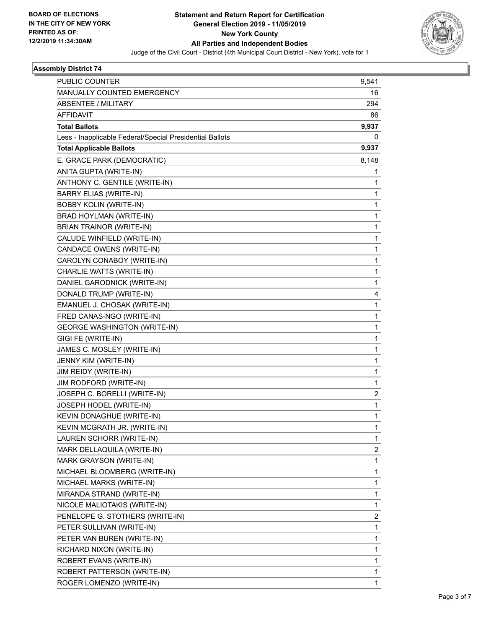

## **Assembly District 74**

| <b>PUBLIC COUNTER</b>                                    | 9,541 |
|----------------------------------------------------------|-------|
| MANUALLY COUNTED EMERGENCY                               | 16    |
| ABSENTEE / MILITARY                                      | 294   |
| <b>AFFIDAVIT</b>                                         | 86    |
| <b>Total Ballots</b>                                     | 9,937 |
| Less - Inapplicable Federal/Special Presidential Ballots | 0     |
| <b>Total Applicable Ballots</b>                          | 9,937 |
| E. GRACE PARK (DEMOCRATIC)                               | 8,148 |
| ANITA GUPTA (WRITE-IN)                                   | 1     |
| ANTHONY C. GENTILE (WRITE-IN)                            | 1     |
| <b>BARRY ELIAS (WRITE-IN)</b>                            | 1     |
| <b>BOBBY KOLIN (WRITE-IN)</b>                            | 1     |
| BRAD HOYLMAN (WRITE-IN)                                  | 1     |
| BRIAN TRAINOR (WRITE-IN)                                 | 1     |
| CALUDE WINFIELD (WRITE-IN)                               | 1     |
| CANDACE OWENS (WRITE-IN)                                 | 1     |
| CAROLYN CONABOY (WRITE-IN)                               | 1     |
| CHARLIE WATTS (WRITE-IN)                                 | 1     |
| DANIEL GARODNICK (WRITE-IN)                              | 1     |
| DONALD TRUMP (WRITE-IN)                                  | 4     |
| EMANUEL J. CHOSAK (WRITE-IN)                             | 1     |
| FRED CANAS-NGO (WRITE-IN)                                | 1     |
| <b>GEORGE WASHINGTON (WRITE-IN)</b>                      | 1     |
| GIGI FE (WRITE-IN)                                       | 1     |
| JAMES C. MOSLEY (WRITE-IN)                               | 1     |
| JENNY KIM (WRITE-IN)                                     | 1     |
| JIM REIDY (WRITE-IN)                                     | 1     |
| JIM RODFORD (WRITE-IN)                                   | 1     |
| JOSEPH C. BORELLI (WRITE-IN)                             | 2     |
| JOSEPH HODEL (WRITE-IN)                                  | 1     |
| KEVIN DONAGHUE (WRITE-IN)                                | 1     |
| KEVIN MCGRATH JR. (WRITE-IN)                             | 1     |
| LAUREN SCHORR (WRITE-IN)                                 | 1     |
| MARK DELLAQUILA (WRITE-IN)                               | 2     |
| MARK GRAYSON (WRITE-IN)                                  | 1     |
| MICHAEL BLOOMBERG (WRITE-IN)                             | 1     |
| MICHAEL MARKS (WRITE-IN)                                 | 1     |
| MIRANDA STRAND (WRITE-IN)                                | 1     |
| NICOLE MALIOTAKIS (WRITE-IN)                             | 1     |
| PENELOPE G. STOTHERS (WRITE-IN)                          | 2     |
| PETER SULLIVAN (WRITE-IN)                                | 1     |
| PETER VAN BUREN (WRITE-IN)                               | 1     |
| RICHARD NIXON (WRITE-IN)                                 | 1     |
| ROBERT EVANS (WRITE-IN)                                  | 1     |
| ROBERT PATTERSON (WRITE-IN)                              | 1     |
| ROGER LOMENZO (WRITE-IN)                                 | 1     |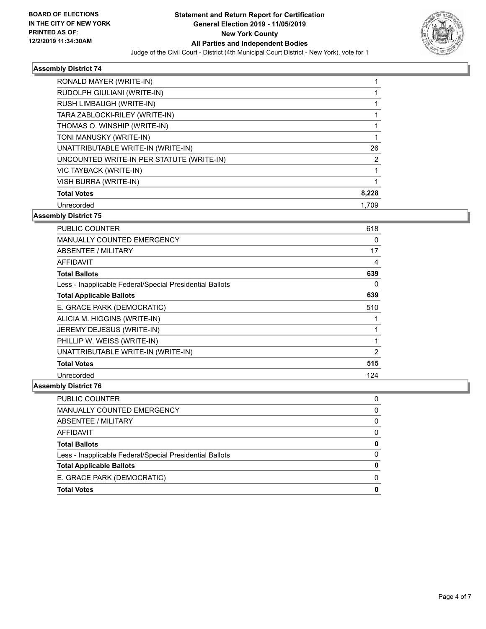

#### **Assembly District 74**

| RONALD MAYER (WRITE-IN)                   |                |
|-------------------------------------------|----------------|
| RUDOLPH GIULIANI (WRITE-IN)               |                |
| RUSH LIMBAUGH (WRITE-IN)                  |                |
| TARA ZABLOCKI-RILEY (WRITE-IN)            |                |
| THOMAS O. WINSHIP (WRITE-IN)              |                |
| TONI MANUSKY (WRITE-IN)                   |                |
| UNATTRIBUTABLE WRITE-IN (WRITE-IN)        | 26             |
| UNCOUNTED WRITE-IN PER STATUTE (WRITE-IN) | $\overline{2}$ |
| VIC TAYBACK (WRITE-IN)                    |                |
| <b>VISH BURRA (WRITE-IN)</b>              |                |
| <b>Total Votes</b>                        | 8,228          |
| Unrecorded                                | 1.709          |

#### **Assembly District 75**

| PUBLIC COUNTER                                           | 618      |
|----------------------------------------------------------|----------|
| MANUALLY COUNTED EMERGENCY                               | 0        |
| ABSENTEE / MILITARY                                      | 17       |
| <b>AFFIDAVIT</b>                                         | 4        |
| <b>Total Ballots</b>                                     | 639      |
| Less - Inapplicable Federal/Special Presidential Ballots | $\Omega$ |
| <b>Total Applicable Ballots</b>                          | 639      |
| E. GRACE PARK (DEMOCRATIC)                               | 510      |
| ALICIA M. HIGGINS (WRITE-IN)                             |          |
| JEREMY DEJESUS (WRITE-IN)                                | 1        |
| PHILLIP W. WEISS (WRITE-IN)                              | 1        |
| UNATTRIBUTABLE WRITE-IN (WRITE-IN)                       | 2        |
| <b>Total Votes</b>                                       | 515      |
| Unrecorded                                               | 124      |

## **Assembly District 76**

| PUBLIC COUNTER                                           |   |
|----------------------------------------------------------|---|
| <b>MANUALLY COUNTED EMERGENCY</b>                        | O |
| ABSENTEE / MILITARY                                      | 0 |
| AFFIDAVIT                                                | O |
| <b>Total Ballots</b>                                     |   |
| Less - Inapplicable Federal/Special Presidential Ballots | O |
| <b>Total Applicable Ballots</b>                          |   |
| E. GRACE PARK (DEMOCRATIC)                               |   |
| <b>Total Votes</b>                                       |   |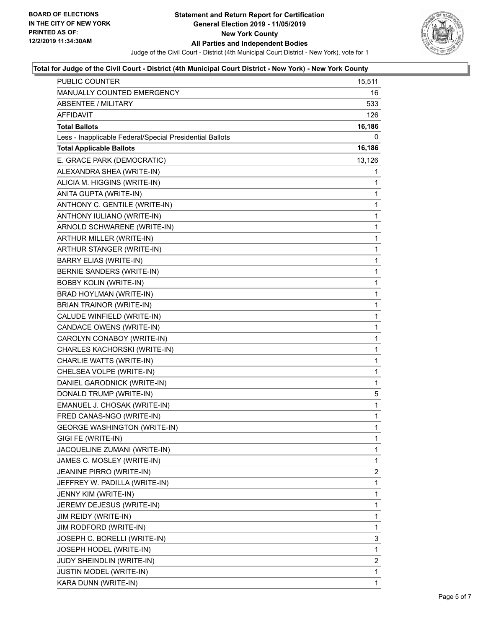

#### **Total for Judge of the Civil Court - District (4th Municipal Court District - New York) - New York County**

| PUBLIC COUNTER                                           | 15,511         |
|----------------------------------------------------------|----------------|
| <b>MANUALLY COUNTED EMERGENCY</b>                        | 16             |
| <b>ABSENTEE / MILITARY</b>                               | 533            |
| AFFIDAVIT                                                | 126            |
| <b>Total Ballots</b>                                     | 16,186         |
| Less - Inapplicable Federal/Special Presidential Ballots | 0              |
| <b>Total Applicable Ballots</b>                          | 16,186         |
| E. GRACE PARK (DEMOCRATIC)                               | 13,126         |
| ALEXANDRA SHEA (WRITE-IN)                                | 1              |
| ALICIA M. HIGGINS (WRITE-IN)                             | 1              |
| ANITA GUPTA (WRITE-IN)                                   | 1              |
| ANTHONY C. GENTILE (WRITE-IN)                            | 1              |
| ANTHONY IULIANO (WRITE-IN)                               | 1              |
| ARNOLD SCHWARENE (WRITE-IN)                              | 1              |
| ARTHUR MILLER (WRITE-IN)                                 | 1              |
| ARTHUR STANGER (WRITE-IN)                                | $\mathbf{1}$   |
| <b>BARRY ELIAS (WRITE-IN)</b>                            | 1              |
| BERNIE SANDERS (WRITE-IN)                                | 1              |
| <b>BOBBY KOLIN (WRITE-IN)</b>                            | $\mathbf{1}$   |
| BRAD HOYLMAN (WRITE-IN)                                  | 1              |
| BRIAN TRAINOR (WRITE-IN)                                 | 1              |
| CALUDE WINFIELD (WRITE-IN)                               | $\mathbf{1}$   |
| CANDACE OWENS (WRITE-IN)                                 | 1              |
| CAROLYN CONABOY (WRITE-IN)                               | 1              |
| CHARLES KACHORSKI (WRITE-IN)                             | $\mathbf{1}$   |
| CHARLIE WATTS (WRITE-IN)                                 | 1              |
| CHELSEA VOLPE (WRITE-IN)                                 | 1              |
| DANIEL GARODNICK (WRITE-IN)                              | $\mathbf{1}$   |
| DONALD TRUMP (WRITE-IN)                                  | 5              |
| EMANUEL J. CHOSAK (WRITE-IN)                             | 1              |
| FRED CANAS-NGO (WRITE-IN)                                | $\mathbf{1}$   |
| <b>GEORGE WASHINGTON (WRITE-IN)</b>                      | $\mathbf{1}$   |
| GIGI FE (WRITE-IN)                                       | 1              |
| JACQUELINE ZUMANI (WRITE-IN)                             | 1              |
| JAMES C. MOSLEY (WRITE-IN)                               | 1              |
| <b>JEANINE PIRRO (WRITE-IN)</b>                          | $\overline{2}$ |
| JEFFREY W. PADILLA (WRITE-IN)                            | 1              |
| JENNY KIM (WRITE-IN)                                     | 1              |
| JEREMY DEJESUS (WRITE-IN)                                | 1              |
| JIM REIDY (WRITE-IN)                                     | 1              |
| JIM RODFORD (WRITE-IN)                                   | 1              |
| JOSEPH C. BORELLI (WRITE-IN)                             | 3              |
| JOSEPH HODEL (WRITE-IN)                                  | 1              |
| JUDY SHEINDLIN (WRITE-IN)                                | 2              |
| <b>JUSTIN MODEL (WRITE-IN)</b>                           | 1              |
| KARA DUNN (WRITE-IN)                                     | 1              |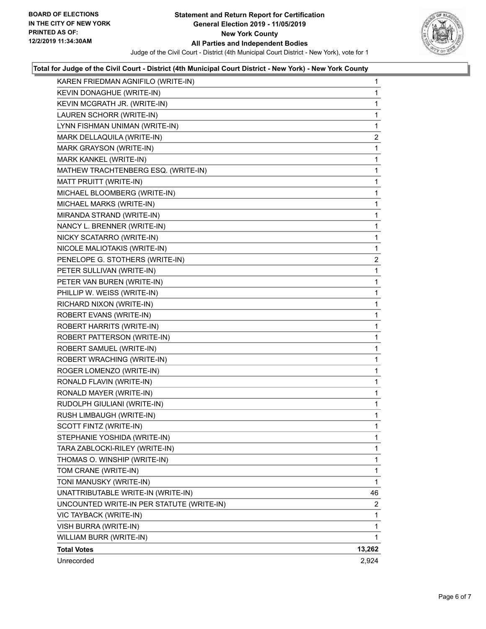

## **Total for Judge of the Civil Court - District (4th Municipal Court District - New York) - New York County**

| KAREN FRIEDMAN AGNIFILO (WRITE-IN)        | 1              |
|-------------------------------------------|----------------|
| KEVIN DONAGHUE (WRITE-IN)                 | 1              |
| KEVIN MCGRATH JR. (WRITE-IN)              | 1              |
| LAUREN SCHORR (WRITE-IN)                  | 1              |
| LYNN FISHMAN UNIMAN (WRITE-IN)            | 1              |
| MARK DELLAQUILA (WRITE-IN)                | $\overline{2}$ |
| MARK GRAYSON (WRITE-IN)                   | 1              |
| MARK KANKEL (WRITE-IN)                    | 1              |
| MATHEW TRACHTENBERG ESQ. (WRITE-IN)       | 1              |
| MATT PRUITT (WRITE-IN)                    | 1              |
| MICHAEL BLOOMBERG (WRITE-IN)              | 1              |
| MICHAEL MARKS (WRITE-IN)                  | 1              |
| MIRANDA STRAND (WRITE-IN)                 | 1              |
| NANCY L. BRENNER (WRITE-IN)               | 1              |
| NICKY SCATARRO (WRITE-IN)                 | 1              |
| NICOLE MALIOTAKIS (WRITE-IN)              | 1              |
| PENELOPE G. STOTHERS (WRITE-IN)           | $\overline{2}$ |
| PETER SULLIVAN (WRITE-IN)                 | 1              |
| PETER VAN BUREN (WRITE-IN)                | 1              |
| PHILLIP W. WEISS (WRITE-IN)               | 1              |
| RICHARD NIXON (WRITE-IN)                  | 1              |
| ROBERT EVANS (WRITE-IN)                   | 1              |
| ROBERT HARRITS (WRITE-IN)                 | 1              |
| ROBERT PATTERSON (WRITE-IN)               | 1              |
| ROBERT SAMUEL (WRITE-IN)                  | 1              |
| ROBERT WRACHING (WRITE-IN)                | 1              |
| ROGER LOMENZO (WRITE-IN)                  | 1              |
| RONALD FLAVIN (WRITE-IN)                  | 1              |
| RONALD MAYER (WRITE-IN)                   | 1              |
| RUDOLPH GIULIANI (WRITE-IN)               | 1              |
| RUSH LIMBAUGH (WRITE-IN)                  | 1              |
| SCOTT FINTZ (WRITE-IN)                    | 1              |
| STEPHANIE YOSHIDA (WRITE-IN)              | 1              |
| TARA ZABLOCKI-RILEY (WRITE-IN)            | 1              |
| THOMAS O. WINSHIP (WRITE-IN)              | 1              |
| TOM CRANE (WRITE-IN)                      | 1              |
| TONI MANUSKY (WRITE-IN)                   | 1              |
| UNATTRIBUTABLE WRITE-IN (WRITE-IN)        | 46             |
| UNCOUNTED WRITE-IN PER STATUTE (WRITE-IN) | 2              |
| VIC TAYBACK (WRITE-IN)                    | 1              |
| VISH BURRA (WRITE-IN)                     | 1              |
| WILLIAM BURR (WRITE-IN)                   | 1              |
| <b>Total Votes</b>                        | 13,262         |
| Unrecorded                                | 2,924          |
|                                           |                |